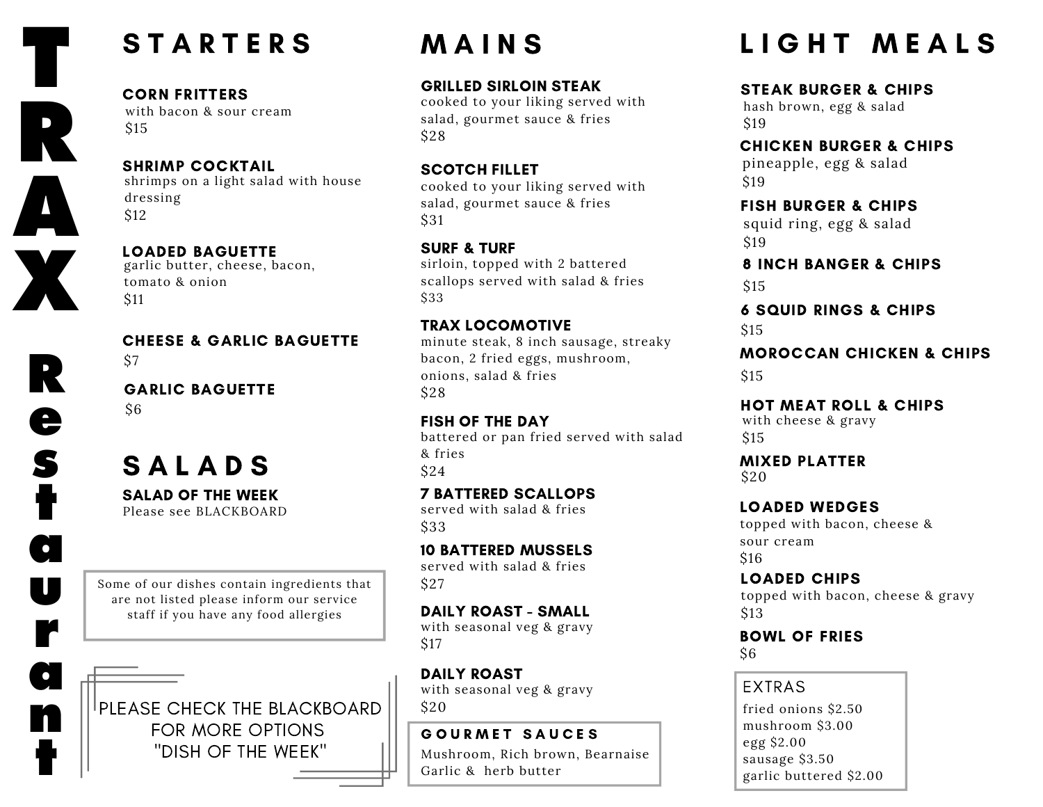## **STARTERS**

CORN FRITTERS with bacon & sour cream \$15

SHRIMP COCKTAIL shrimps on a light salad with house dressing \$12

CHEESE & GARLIC BAGUETTE

LOADED BAGUETTE garlic butter, cheese, bacon, tomato & onion \$11

**R e**

**T**

**R**

**A**

**X**

**s**

**t**

**a**

**u**

**r**

**a**

**n**

**t**

**SALADS** SALAD OF THE WEEK Please see BLACKBOARD

GARLIC BAGUETTE

\$6

\$7

Some of our dishes contain ingredients that are not listed please inform our service staff if you have any food allergies

PLEASE CHECK THE BLACKBOARD FOR MORE OPTIONS "DISH OF THE WEEK"

## M A I N S

GRILLED SIRLOIN STEAK

cooked to your liking served with salad, gourmet sauce & fries \$28

## SCOTCH FILLET

cooked to your liking served with salad, gourmet sauce & fries \$31

#### SURF & TURF

sirloin, topped with 2 battered scallops served with salad & fries \$33

#### TRAX LOCOMOTIVE

minute steak, 8 inch sausage, streaky bacon, 2 fried eggs, mushroom, onions, salad & fries \$28

FISH OF THE DAY battered or pan fried served with salad & fries \$24

7 BATTERED SCALLOPS served with salad & fries \$33

10 BATTERED MUSSELS served with salad & fries \$27

DAILY ROAST - SMALL with seasonal veg & gravy \$17

DAILY ROAST with seasonal veg & gravy \$20

GOURMET SAUCES Mushroom, Rich brown, Bearnaise Garlic & herb butter

## LIGHT MEALS

## STEAK BURGER & CHIPS

hash brown, egg & salad \$19

#### CHICKEN BURGER & CHIPS

pineapple, egg & salad \$19

FISH BURGER & CHIPS

squid ring, egg & salad \$19

8 INCH BANGER & CHIPS

\$15

6 SQUID RINGS & CHIPS \$15

MOROCCAN CHICKEN & CHIPS

\$15

HOT MEAT ROLL & CHIPS with cheese & gravy \$15

MIXED PLATTER \$20

LOADED WEDGES topped with bacon, cheese & sour cream \$16

LOADED CHIPS topped with bacon, cheese & gravy \$13

BOWL OF FRIES \$6

EXTRAS

fried onions \$2.50 mushroom \$3.00 egg \$2.00 sausage \$3.50 garlic buttered \$2.00